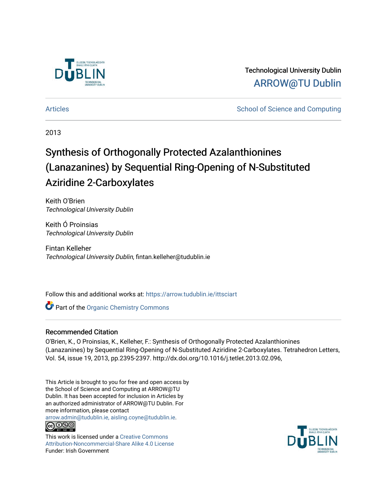

Technological University Dublin [ARROW@TU Dublin](https://arrow.tudublin.ie/) 

[Articles](https://arrow.tudublin.ie/ittsciart) **School of Science and Computing**  $\sim$  School of Science and Computing

2013

# Synthesis of Orthogonally Protected Azalanthionines (Lanazanines) by Sequential Ring-Opening of N-Substituted Aziridine 2-Carboxylates

Keith O'Brien Technological University Dublin

Keith Ó Proinsias Technological University Dublin

Fintan Kelleher Technological University Dublin, fintan.kelleher@tudublin.ie

Follow this and additional works at: [https://arrow.tudublin.ie/ittsciart](https://arrow.tudublin.ie/ittsciart?utm_source=arrow.tudublin.ie%2Fittsciart%2F5&utm_medium=PDF&utm_campaign=PDFCoverPages)

**Part of the Organic Chemistry Commons** 

### Recommended Citation

O'Brien, K., O Proinsias, K., Kelleher, F.: Synthesis of Orthogonally Protected Azalanthionines (Lanazanines) by Sequential Ring-Opening of N-Substituted Aziridine 2-Carboxylates. Tetrahedron Letters, Vol. 54, issue 19, 2013, pp.2395-2397. http://dx.doi.org/10.1016/j.tetlet.2013.02.096,

This Article is brought to you for free and open access by the School of Science and Computing at ARROW@TU Dublin. It has been accepted for inclusion in Articles by an authorized administrator of ARROW@TU Dublin. For more information, please contact

[arrow.admin@tudublin.ie, aisling.coyne@tudublin.ie](mailto:arrow.admin@tudublin.ie,%20aisling.coyne@tudublin.ie). **@@@** 

This work is licensed under a [Creative Commons](http://creativecommons.org/licenses/by-nc-sa/4.0/) [Attribution-Noncommercial-Share Alike 4.0 License](http://creativecommons.org/licenses/by-nc-sa/4.0/) Funder: Irish Government

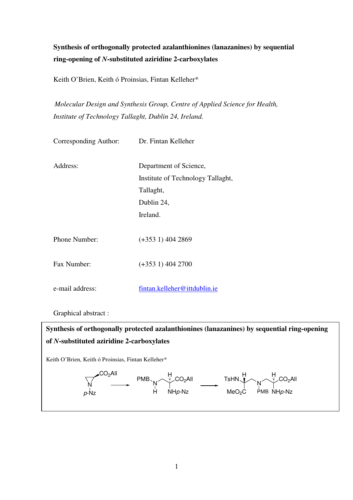# **Synthesis of orthogonally protected azalanthionines (lanazanines) by sequential ring-opening of** *N***-substituted aziridine 2-carboxylates**

Keith O'Brien, Keith ó Proinsias, Fintan Kelleher\*

*Molecular Design and Synthesis Group, Centre of Applied Science for Health, Institute of Technology Tallaght, Dublin 24, Ireland.* 

| Corresponding Author: | Dr. Fintan Kelleher                                                                                |
|-----------------------|----------------------------------------------------------------------------------------------------|
| Address:              | Department of Science,<br>Institute of Technology Tallaght,<br>Tallaght,<br>Dublin 24,<br>Ireland. |
| Phone Number:         | $(+3531)$ 404 2869                                                                                 |
| Fax Number:           | $(+3531)$ 404 2700                                                                                 |
| e-mail address:       | fintan.kelleher@ittdublin.ie                                                                       |
|                       |                                                                                                    |

Graphical abstract :

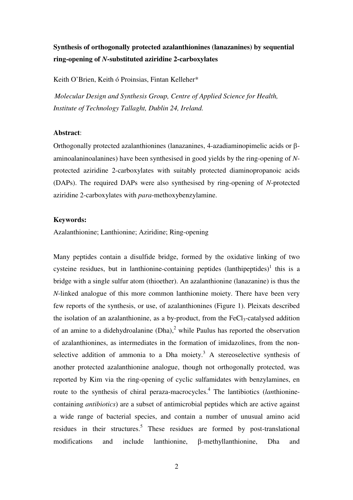## **Synthesis of orthogonally protected azalanthionines (lanazanines) by sequential ring-opening of** *N***-substituted aziridine 2-carboxylates**

Keith O'Brien, Keith ó Proinsias, Fintan Kelleher\*

*Molecular Design and Synthesis Group, Centre of Applied Science for Health, Institute of Technology Tallaght, Dublin 24, Ireland.* 

#### **Abstract**:

Orthogonally protected azalanthionines (lanazanines, 4-azadiaminopimelic acids or βaminoalaninoalanines) have been synthesised in good yields by the ring-opening of *N*protected aziridine 2-carboxylates with suitably protected diaminopropanoic acids (DAPs). The required DAPs were also synthesised by ring-opening of *N*-protected aziridine 2-carboxylates with *para*-methoxybenzylamine.

#### **Keywords:**

Azalanthionine; Lanthionine; Aziridine; Ring-opening

Many peptides contain a disulfide bridge, formed by the oxidative linking of two cysteine residues, but in lanthionine-containing peptides  $($ lanthipeptides $)^1$  this is a bridge with a single sulfur atom (thioether). An azalanthionine (lanazanine) is thus the *N*-linked analogue of this more common lanthionine moiety. There have been very few reports of the synthesis, or use, of azalanthionines (Figure 1). Pleixats described the isolation of an azalanthionine, as a by-product, from the  $FeCl<sub>3</sub>$ -catalysed addition of an amine to a didehydroalanine  $(Dha)$ , while Paulus has reported the observation of azalanthionines, as intermediates in the formation of imidazolines, from the nonselective addition of ammonia to a Dha moiety.<sup>3</sup> A stereoselective synthesis of another protected azalanthionine analogue, though not orthogonally protected, was reported by Kim via the ring-opening of cyclic sulfamidates with benzylamines, en route to the synthesis of chiral peraza-macrocycles.<sup>4</sup> The lantibiotics (*lanthionine*containing *antibiotics*) are a subset of antimicrobial peptides which are active against a wide range of bacterial species, and contain a number of unusual amino acid residues in their structures.<sup>5</sup> These residues are formed by post-translational modifications and include lanthionine, β-methyllanthionine, Dha and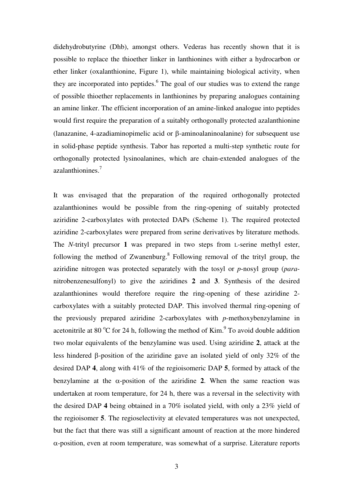didehydrobutyrine (Dhb), amongst others. Vederas has recently shown that it is possible to replace the thioether linker in lanthionines with either a hydrocarbon or ether linker (oxalanthionine, Figure 1), while maintaining biological activity, when they are incorporated into peptides.<sup>6</sup> The goal of our studies was to extend the range of possible thioether replacements in lanthionines by preparing analogues containing an amine linker. The efficient incorporation of an amine-linked analogue into peptides would first require the preparation of a suitably orthogonally protected azalanthionine (lanazanine, 4-azadiaminopimelic acid or β-aminoalaninoalanine) for subsequent use in solid-phase peptide synthesis. Tabor has reported a multi-step synthetic route for orthogonally protected lysinoalanines, which are chain-extended analogues of the azalanthionines.<sup>7</sup>

It was envisaged that the preparation of the required orthogonally protected azalanthionines would be possible from the ring-opening of suitably protected aziridine 2-carboxylates with protected DAPs (Scheme 1). The required protected aziridine 2-carboxylates were prepared from serine derivatives by literature methods. The *N*-trityl precursor **1** was prepared in two steps from L-serine methyl ester, following the method of Zwanenburg. $8$  Following removal of the trityl group, the aziridine nitrogen was protected separately with the tosyl or *p*-nosyl group (*para*nitrobenzenesulfonyl) to give the aziridines **2** and **3**. Synthesis of the desired azalanthionines would therefore require the ring-opening of these aziridine 2 carboxylates with a suitably protected DAP. This involved thermal ring-opening of the previously prepared aziridine 2-carboxylates with *p*-methoxybenzylamine in acetonitrile at 80  $\rm{^{\circ}C}$  for 24 h, following the method of Kim. $\rm{^{\circ}T}$  To avoid double addition two molar equivalents of the benzylamine was used. Using aziridine **2**, attack at the less hindered β-position of the aziridine gave an isolated yield of only 32% of the desired DAP **4**, along with 41% of the regioisomeric DAP **5**, formed by attack of the benzylamine at the  $\alpha$ -position of the aziridine 2. When the same reaction was undertaken at room temperature, for 24 h, there was a reversal in the selectivity with the desired DAP **4** being obtained in a 70% isolated yield, with only a 23% yield of the regioisomer **5**. The regioselectivity at elevated temperatures was not unexpected, but the fact that there was still a significant amount of reaction at the more hindered α-position, even at room temperature, was somewhat of a surprise. Literature reports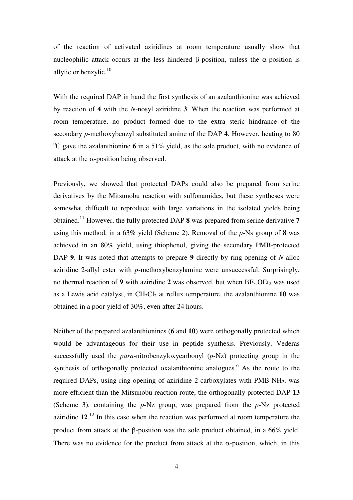of the reaction of activated aziridines at room temperature usually show that nucleophilic attack occurs at the less hindered β-position, unless the α-position is allylic or benzylic. $10$ 

With the required DAP in hand the first synthesis of an azalanthionine was achieved by reaction of **4** with the *N*-nosyl aziridine **3**. When the reaction was performed at room temperature, no product formed due to the extra steric hindrance of the secondary *p*-methoxybenzyl substituted amine of the DAP **4**. However, heating to 80 <sup>o</sup>C gave the azalanthionine 6 in a 51% yield, as the sole product, with no evidence of attack at the  $\alpha$ -position being observed.

Previously, we showed that protected DAPs could also be prepared from serine derivatives by the Mitsunobu reaction with sulfonamides, but these syntheses were somewhat difficult to reproduce with large variations in the isolated yields being obtained.<sup>11</sup> However, the fully protected DAP **8** was prepared from serine derivative **7** using this method, in a 63% yield (Scheme 2). Removal of the *p*-Ns group of **8** was achieved in an 80% yield, using thiophenol, giving the secondary PMB-protected DAP **9**. It was noted that attempts to prepare **9** directly by ring-opening of *N*-alloc aziridine 2-allyl ester with *p*-methoxybenzylamine were unsuccessful. Surprisingly, no thermal reaction of **9** with aziridine **2** was observed, but when  $BF_3$ . OEt<sub>2</sub> was used as a Lewis acid catalyst, in  $CH_2Cl_2$  at reflux temperature, the azalanthionine 10 was obtained in a poor yield of 30%, even after 24 hours.

Neither of the prepared azalanthionines (**6** and **10**) were orthogonally protected which would be advantageous for their use in peptide synthesis. Previously, Vederas successfully used the *para*-nitrobenzyloxycarbonyl (*p*-Nz) protecting group in the synthesis of orthogonally protected oxalanthionine analogues.<sup>6</sup> As the route to the required DAPs, using ring-opening of aziridine 2-carboxylates with  $PMB-NH<sub>2</sub>$ , was more efficient than the Mitsunobu reaction route, the orthogonally protected DAP **13**  (Scheme 3), containing the *p*-Nz group, was prepared from the *p*-Nz protected aziridine **12**. <sup>12</sup> In this case when the reaction was performed at room temperature the product from attack at the β-position was the sole product obtained, in a 66% yield. There was no evidence for the product from attack at the  $\alpha$ -position, which, in this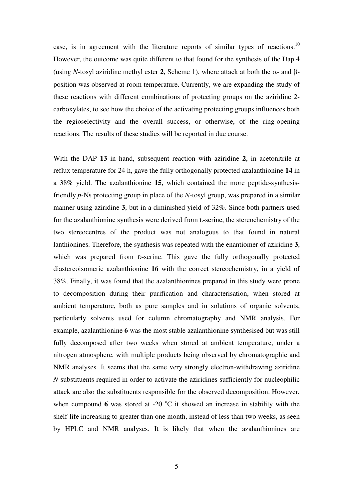case, is in agreement with the literature reports of similar types of reactions.<sup>10</sup> However, the outcome was quite different to that found for the synthesis of the Dap **4** (using *N*-tosyl aziridine methyl ester **2**, Scheme 1), where attack at both the α- and βposition was observed at room temperature. Currently, we are expanding the study of these reactions with different combinations of protecting groups on the aziridine 2 carboxylates, to see how the choice of the activating protecting groups influences both the regioselectivity and the overall success, or otherwise, of the ring-opening reactions. The results of these studies will be reported in due course.

With the DAP **13** in hand, subsequent reaction with aziridine **2**, in acetonitrile at reflux temperature for 24 h, gave the fully orthogonally protected azalanthionine **14** in a 38% yield. The azalanthionine **15**, which contained the more peptide-synthesisfriendly *p*-Ns protecting group in place of the *N*-tosyl group, was prepared in a similar manner using aziridine **3**, but in a diminished yield of 32%. Since both partners used for the azalanthionine synthesis were derived from L-serine, the stereochemistry of the two stereocentres of the product was not analogous to that found in natural lanthionines. Therefore, the synthesis was repeated with the enantiomer of aziridine **3**, which was prepared from D-serine. This gave the fully orthogonally protected diastereoisomeric azalanthionine **16** with the correct stereochemistry, in a yield of 38%. Finally, it was found that the azalanthionines prepared in this study were prone to decomposition during their purification and characterisation, when stored at ambient temperature, both as pure samples and in solutions of organic solvents, particularly solvents used for column chromatography and NMR analysis. For example, azalanthionine **6** was the most stable azalanthionine synthesised but was still fully decomposed after two weeks when stored at ambient temperature, under a nitrogen atmosphere, with multiple products being observed by chromatographic and NMR analyses. It seems that the same very strongly electron-withdrawing aziridine *N*-substituents required in order to activate the aziridines sufficiently for nucleophilic attack are also the substituents responsible for the observed decomposition. However, when compound 6 was stored at -20  $^{\circ}$ C it showed an increase in stability with the shelf-life increasing to greater than one month, instead of less than two weeks, as seen by HPLC and NMR analyses. It is likely that when the azalanthionines are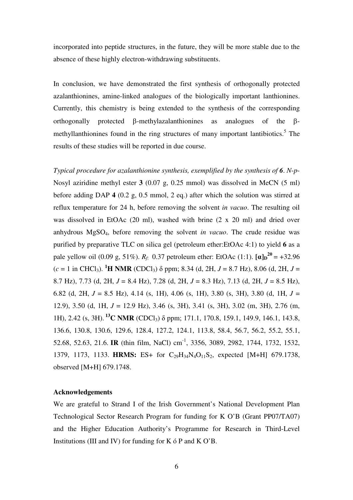incorporated into peptide structures, in the future, they will be more stable due to the absence of these highly electron-withdrawing substituents.

In conclusion, we have demonstrated the first synthesis of orthogonally protected azalanthionines, amine-linked analogues of the biologically important lanthionines. Currently, this chemistry is being extended to the synthesis of the corresponding orthogonally protected β-methylazalanthionines as analogues of the βmethyllanthionines found in the ring structures of many important lantibiotics.<sup>5</sup> The results of these studies will be reported in due course.

*Typical procedure for azalanthionine synthesis, exemplified by the synthesis of 6*. *N*-*p*-Nosyl aziridine methyl ester **3** (0.07 g, 0.25 mmol) was dissolved in MeCN (5 ml) before adding DAP **4** (0.2 g, 0.5 mmol, 2 eq.) after which the solution was stirred at reflux temperature for 24 h, before removing the solvent *in vacuo*. The resulting oil was dissolved in EtOAc (20 ml), washed with brine (2 x 20 ml) and dried over anhydrous MgSO4, before removing the solvent *in vacuo*. The crude residue was purified by preparative TLC on silica gel (petroleum ether:EtOAc 4:1) to yield **6** as a pale yellow oil (0.09 g, 51%).  $R_f$ : 0.37 petroleum ether: EtOAc (1:1).  $[\alpha]_D^{20} = +32.96$  $(c = 1$  in CHCl<sub>3</sub>). **<sup>1</sup>H NMR** (CDCl<sub>3</sub>)  $\delta$  ppm; 8.34 (d, 2H, J = 8.7 Hz), 8.06 (d, 2H, J = 8.7 Hz), 7.73 (d, 2H, *J* = 8.4 Hz), 7.28 (d, 2H, *J* = 8.3 Hz), 7.13 (d, 2H, *J* = 8.5 Hz), 6.82 (d, 2H, *J* = 8.5 Hz), 4.14 (s, 1H), 4.06 (s, 1H), 3.80 (s, 3H), 3.80 (d, 1H, *J* = 12.9), 3.50 (d, 1H, *J* = 12.9 Hz), 3.46 (s, 3H), 3.41 (s, 3H), 3.02 (m, 3H), 2.76 (m, 1H), 2.42 (s, 3H). **<sup>13</sup>C NMR** (CDCl3) δ ppm; 171.1, 170.8, 159.1, 149.9, 146.1, 143.8, 136.6, 130.8, 130.6, 129.6, 128.4, 127.2, 124.1, 113.8, 58.4, 56.7, 56.2, 55.2, 55.1, 52.68, 52.63, 21.6. **IR** (thin film, NaCl) cm-1, 3356, 3089, 2982, 1744, 1732, 1532, 1379, 1173, 1133. **HRMS:** ES+ for C29H34N4O11S2, expected [M+H] 679.1738, observed [M+H] 679.1748.

#### **Acknowledgements**

We are grateful to Strand I of the Irish Government's National Development Plan Technological Sector Research Program for funding for K O'B (Grant PP07/TA07) and the Higher Education Authority's Programme for Research in Third-Level Institutions (III and IV) for funding for K ó P and K O'B.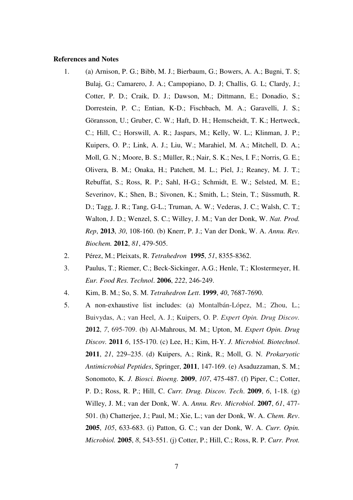#### **References and Notes**

- 1. (a) Arnison, P. G.; Bibb, M. J.; Bierbaum, G.; Bowers, A. A.; Bugni, T. S; Bulaj, G.; Camarero, J. A.; Campopiano, D. J; Challis, G. L; Clardy, J.; Cotter, P. D.; Craik, D. J.; Dawson, M.; Dittmann, E.; Donadio, S.; Dorrestein, P. C.; Entian, K-D.; Fischbach, M. A.; Garavelli, J. S.; Göransson, U.; Gruber, C. W.; Haft, D. H.; Hemscheidt, T. K.; Hertweck, C.; Hill, C.; Horswill, A. R.; Jaspars, M.; Kelly, W. L.; Klinman, J. P.; Kuipers, O. P.; Link, A. J.; Liu, W.; Marahiel, M. A.; Mitchell, D. A.; Moll, G. N.; Moore, B. S.; Müller, R.; Nair, S. K.; Nes, I. F.; Norris, G. E.; Olivera, B. M.; Onaka, H.; Patchett, M. L.; Piel, J.; Reaney, M. J. T.; Rebuffat, S.; Ross, R. P.; Sahl, H-G.; Schmidt, E. W.; Selsted, M. E.; Severinov, K.; Shen, B.; Sivonen, K.; Smith, L.; Stein, T.; Süssmuth, R. D.; Tagg, J. R.; Tang, G-L.; Truman, A. W.; Vederas, J. C.; Walsh, C. T.; Walton, J. D.; Wenzel, S. C.; Willey, J. M.; Van der Donk, W. *Nat. Prod. Rep*, **2013**, *30*, 108-160. (b) Knerr, P. J.; Van der Donk, W. A. *Annu. Rev. Biochem.* **2012**, *81*, 479-505.
- 2. Pérez, M.; Pleixats, R. *Tetrahedron* **1995**, *51*, 8355-8362.
- 3. Paulus, T.; Riemer, C.; Beck-Sickinger, A.G.; Henle, T.; Klostermeyer, H. *Eur. Food Res. Technol*. **2006**, *222*, 246-249.
- 4. Kim, B. M.; So, S. M. *Tetrahedron Lett*. **1999**, *40*, 7687-7690.
- 5. A non-exhaustive list includes: (a) Montalbán-López, M.; Zhou, L.; Buivydas, A.; van Heel, A. J.; Kuipers, O. P. *Expert Opin. Drug Discov.* **2012**, *7*, 695-709. (b) Al-Mahrous, M. M.; Upton, M. *Expert Opin. Drug Discov.* **2011** *6*, 155-170. (c) Lee, H.; Kim, H-Y. *J. Microbiol. Biotechnol*. **2011**, *21*, 229–235. (d) Kuipers, A.; Rink, R.; Moll, G. N. *Prokaryotic Antimicrobial Peptides*, Springer, **2011**, 147-169. (e) Asaduzzaman, S. M.; Sonomoto, K. *J. Biosci. Bioeng.* **2009**, *107*, 475-487. (f) Piper, C.; Cotter, P. D.; Ross, R. P.; Hill, C. *Curr. Drug. Discov. Tech*. **2009**, *6*, 1-18. (g) Willey, J. M.; van der Donk, W. A. *Annu. Rev. Microbiol*. **2007**, *61*, 477- 501. (h) Chatterjee, J.; Paul, M.; Xie, L.; van der Donk, W. A. *Chem. Rev*. **2005**, *105*, 633-683. (i) Patton, G. C.; van der Donk, W. A. *Curr. Opin. Microbiol.* **2005**, *8*, 543-551. (j) Cotter, P.; Hill, C.; Ross, R. P. *Curr. Prot.*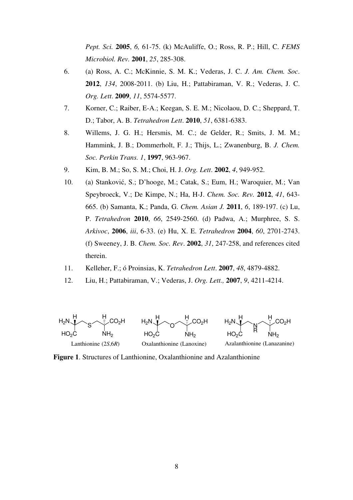*Pept. Sci.* **2005**, *6,* 61-75. (k) McAuliffe, O.; Ross, R. P.; Hill, C. *FEMS Microbiol. Rev.* **2001**, *25*, 285-308.

- 6. (a) Ross, A. C.; McKinnie, S. M. K.; Vederas, J. C. *J. Am. Chem. Soc*. **2012**, *134*, 2008-2011. (b) Liu, H.; Pattabiraman, V. R.; Vederas, J. C. *Org. Lett*. **2009**, *11*, 5574-5577.
- 7. Korner, C.; Raiber, E-A.; Keegan, S. E. M.; Nicolaou, D. C.; Sheppard, T. D.; Tabor, A. B. *Tetrahedron Lett*. **2010**, *51*, 6381-6383.
- 8. Willems, J. G. H.; Hersmis, M. C.; de Gelder, R.; Smits, J. M. M.; Hammink, J. B.; Dommerholt, F. J.; Thijs, L.; Zwanenburg, B. *J. Chem. Soc. Perkin Trans. 1*, **1997**, 963-967.
- 9. Kim, B. M.; So, S. M.; Choi, H. J. *Org. Lett*. **2002**, *4*, 949-952.
- 10. (a) Stanković, S.; D'hooge, M.; Catak, S.; Eum, H.; Waroquier, M.; Van Speybroeck, V.; De Kimpe, N.; Ha, H-J. *Chem. Soc. Rev.* **2012**, *41*, 643- 665. (b) Samanta, K.; Panda, G. *Chem. Asian J.* **2011**, *6*, 189-197. (c) Lu, P. *Tetrahedron* **2010**, *66*, 2549-2560. (d) Padwa, A.; Murphree, S. S. *Arkivoc*, **2006**, *iii*, 6-33. (e) Hu, X. E. *Tetrahedron* **2004**, *60*, 2701-2743. (f) Sweeney, J. B. *Chem. Soc. Rev*. **2002**, *31*, 247-258, and references cited therein.
- 11. Kelleher, F.; ó Proinsias, K. *Tetrahedron Lett*. **2007**, *48*, 4879-4882.
- 12. Liu, H.; Pattabiraman, V.; Vederas, J. *Org. Lett.,* **2007**, *9*, 4211-4214.



**Figure 1**. Structures of Lanthionine, Oxalanthionine and Azalanthionine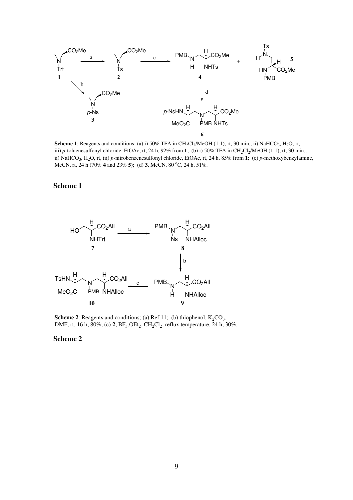

**Scheme 1**: Reagents and conditions; (a) i)  $50\%$  TFA in  $CH_2Cl_2/MeOH$  (1:1), rt, 30 min., ii) NaHCO<sub>3</sub>, H<sub>2</sub>O, rt, iii) *p*-toluenesulfonyl chloride, EtOAc, rt, 24 h, 92% from 1; (b) i) 50% TFA in  $CH_2Cl_2/MeOH$  (1:1), rt, 30 min., ii) NaHCO<sub>3</sub>, H<sub>2</sub>O, rt, iii) *p*-nitrobenzenesulfonyl chloride, EtOAc, rt, 24 h, 85% from **1**; (c) *p*-methoxybenzylamine, MeCN, rt, 24 h (70% **4** and 23% **5**); (d) **3**, MeCN, 80 oC, 24 h, 51%.

#### **Scheme 1**



**Scheme 2:** Reagents and conditions; (a) Ref 11; (b) thiophenol,  $K_2CO_3$ , DMF, rt, 16 h, 80%; (c)  $2$ ,  $BF_3$ . $OEt_2$ ,  $CH_2Cl_2$ , reflux temperature, 24 h, 30%.

#### **Scheme 2**